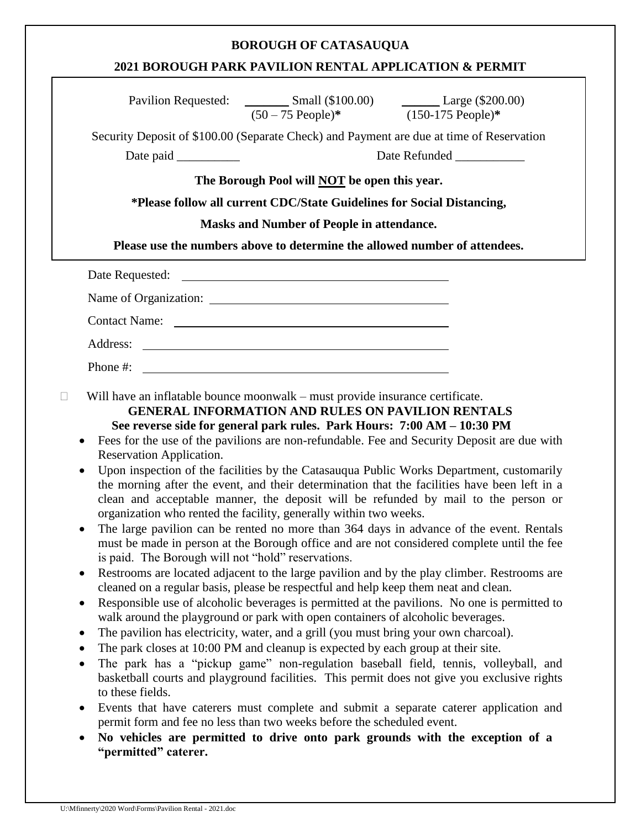## **BOROUGH OF CATASAUQUA**

## **2021 BOROUGH PARK PAVILION RENTAL APPLICATION & PERMIT**

|                                                                                                                                                                                                                                                                                                                                                                                                                                                                                                                                                                                                                                                                                                                                                                                                                                                                                                                                                                                                                                                                                                                                                                                                                                                                                                                                                                                                                                                                                                                                                                                                                                                                                                                                                                                                                                                                                                                                                                         | $(50-75 \text{ People})^*$ $(150-175 \text{ People})^*$ |                                                                            |  |
|-------------------------------------------------------------------------------------------------------------------------------------------------------------------------------------------------------------------------------------------------------------------------------------------------------------------------------------------------------------------------------------------------------------------------------------------------------------------------------------------------------------------------------------------------------------------------------------------------------------------------------------------------------------------------------------------------------------------------------------------------------------------------------------------------------------------------------------------------------------------------------------------------------------------------------------------------------------------------------------------------------------------------------------------------------------------------------------------------------------------------------------------------------------------------------------------------------------------------------------------------------------------------------------------------------------------------------------------------------------------------------------------------------------------------------------------------------------------------------------------------------------------------------------------------------------------------------------------------------------------------------------------------------------------------------------------------------------------------------------------------------------------------------------------------------------------------------------------------------------------------------------------------------------------------------------------------------------------------|---------------------------------------------------------|----------------------------------------------------------------------------|--|
| Security Deposit of \$100.00 (Separate Check) and Payment are due at time of Reservation                                                                                                                                                                                                                                                                                                                                                                                                                                                                                                                                                                                                                                                                                                                                                                                                                                                                                                                                                                                                                                                                                                                                                                                                                                                                                                                                                                                                                                                                                                                                                                                                                                                                                                                                                                                                                                                                                |                                                         |                                                                            |  |
|                                                                                                                                                                                                                                                                                                                                                                                                                                                                                                                                                                                                                                                                                                                                                                                                                                                                                                                                                                                                                                                                                                                                                                                                                                                                                                                                                                                                                                                                                                                                                                                                                                                                                                                                                                                                                                                                                                                                                                         | Date Refunded ____________                              |                                                                            |  |
| The Borough Pool will <b>NOT</b> be open this year.<br>*Please follow all current CDC/State Guidelines for Social Distancing,<br><b>Masks and Number of People in attendance.</b>                                                                                                                                                                                                                                                                                                                                                                                                                                                                                                                                                                                                                                                                                                                                                                                                                                                                                                                                                                                                                                                                                                                                                                                                                                                                                                                                                                                                                                                                                                                                                                                                                                                                                                                                                                                       |                                                         |                                                                            |  |
|                                                                                                                                                                                                                                                                                                                                                                                                                                                                                                                                                                                                                                                                                                                                                                                                                                                                                                                                                                                                                                                                                                                                                                                                                                                                                                                                                                                                                                                                                                                                                                                                                                                                                                                                                                                                                                                                                                                                                                         |                                                         | Please use the numbers above to determine the allowed number of attendees. |  |
|                                                                                                                                                                                                                                                                                                                                                                                                                                                                                                                                                                                                                                                                                                                                                                                                                                                                                                                                                                                                                                                                                                                                                                                                                                                                                                                                                                                                                                                                                                                                                                                                                                                                                                                                                                                                                                                                                                                                                                         |                                                         |                                                                            |  |
|                                                                                                                                                                                                                                                                                                                                                                                                                                                                                                                                                                                                                                                                                                                                                                                                                                                                                                                                                                                                                                                                                                                                                                                                                                                                                                                                                                                                                                                                                                                                                                                                                                                                                                                                                                                                                                                                                                                                                                         |                                                         |                                                                            |  |
|                                                                                                                                                                                                                                                                                                                                                                                                                                                                                                                                                                                                                                                                                                                                                                                                                                                                                                                                                                                                                                                                                                                                                                                                                                                                                                                                                                                                                                                                                                                                                                                                                                                                                                                                                                                                                                                                                                                                                                         |                                                         |                                                                            |  |
| Contact Name:                                                                                                                                                                                                                                                                                                                                                                                                                                                                                                                                                                                                                                                                                                                                                                                                                                                                                                                                                                                                                                                                                                                                                                                                                                                                                                                                                                                                                                                                                                                                                                                                                                                                                                                                                                                                                                                                                                                                                           |                                                         |                                                                            |  |
|                                                                                                                                                                                                                                                                                                                                                                                                                                                                                                                                                                                                                                                                                                                                                                                                                                                                                                                                                                                                                                                                                                                                                                                                                                                                                                                                                                                                                                                                                                                                                                                                                                                                                                                                                                                                                                                                                                                                                                         |                                                         |                                                                            |  |
| Phone #: $\frac{1}{2}$ = $\frac{1}{2}$ = $\frac{1}{2}$ = $\frac{1}{2}$ = $\frac{1}{2}$ = $\frac{1}{2}$ = $\frac{1}{2}$ = $\frac{1}{2}$ = $\frac{1}{2}$ = $\frac{1}{2}$ = $\frac{1}{2}$ = $\frac{1}{2}$ = $\frac{1}{2}$ = $\frac{1}{2}$ = $\frac{1}{2}$ = $\frac{1}{2}$ = $\frac{1}{2}$ = $\frac{1}{2}$                                                                                                                                                                                                                                                                                                                                                                                                                                                                                                                                                                                                                                                                                                                                                                                                                                                                                                                                                                                                                                                                                                                                                                                                                                                                                                                                                                                                                                                                                                                                                                                                                                                                  |                                                         |                                                                            |  |
| <b>GENERAL INFORMATION AND RULES ON PAVILION RENTALS</b><br>See reverse side for general park rules. Park Hours: 7:00 AM - 10:30 PM<br>Fees for the use of the pavilions are non-refundable. Fee and Security Deposit are due with<br>$\bullet$<br>Reservation Application.<br>Upon inspection of the facilities by the Catasauqua Public Works Department, customarily<br>the morning after the event, and their determination that the facilities have been left in a<br>clean and acceptable manner, the deposit will be refunded by mail to the person or<br>organization who rented the facility, generally within two weeks.<br>The large pavilion can be rented no more than 364 days in advance of the event. Rentals<br>must be made in person at the Borough office and are not considered complete until the fee<br>is paid. The Borough will not "hold" reservations.<br>Restrooms are located adjacent to the large pavilion and by the play climber. Restrooms are<br>٠<br>cleaned on a regular basis, please be respectful and help keep them neat and clean.<br>Responsible use of alcoholic beverages is permitted at the pavilions. No one is permitted to<br>walk around the playground or park with open containers of alcoholic beverages.<br>The pavilion has electricity, water, and a grill (you must bring your own charcoal).<br>$\bullet$<br>The park closes at 10:00 PM and cleanup is expected by each group at their site.<br>The park has a "pickup game" non-regulation baseball field, tennis, volleyball, and<br>$\bullet$<br>basketball courts and playground facilities. This permit does not give you exclusive rights<br>to these fields.<br>Events that have caterers must complete and submit a separate caterer application and<br>$\bullet$<br>permit form and fee no less than two weeks before the scheduled event.<br>No vehicles are permitted to drive onto park grounds with the exception of a<br>"permitted" caterer. |                                                         |                                                                            |  |